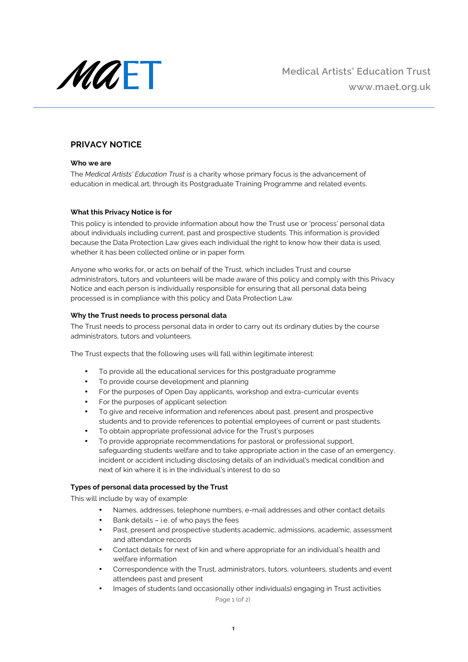

# **PRIVACY NOTICE**

## **Who we are**

The *Medical Artists' Education Trust* is a charity whose primary focus is the advancement of education in medical art; through its Postgraduate Training Programme and related events.

# **What this Privacy Notice is for**

This policy is intended to provide information about how the Trust use or 'process' personal data about individuals including current, past and prospective students. This information is provided because the Data Protection Law gives each individual the right to know how their data is used, whether it has been collected online or in paper form.

Anyone who works for, or acts on behalf of the Trust, which includes Trust and course administrators, tutors and volunteers will be made aware of this policy and comply with this Privacy Notice and each person is individually responsible for ensuring that all personal data being processed is in compliance with this policy and Data Protection Law.

# **Why the Trust needs to process personal data**

The Trust needs to process personal data in order to carry out its ordinary duties by the course administrators, tutors and volunteers.

The Trust expects that the following uses will fall within legitimate interest:

- To provide all the educational services for this postgraduate programme
- To provide course development and planning
- For the purposes of Open Day applicants, workshop and extra-curricular events
- For the purposes of applicant selection
- To give and receive information and references about past, present and prospective students and to provide references to potential employees of current or past students.
- To obtain appropriate professional advice for the Trust's purposes
- To provide appropriate recommendations for pastoral or professional support, safeguarding students welfare and to take appropriate action in the case of an emergency, incident or accident including disclosing details of an individual's medical condition and next of kin where it is in the individual's interest to do so

# **Types of personal data processed by the Trust**

This will include by way of example:

- Names, addresses, telephone numbers, e-mail addresses and other contact details
- Bank details i.e. of who pays the fees
- Past, present and prospective students academic, admissions, academic, assessment and attendance records
- Contact details for next of kin and where appropriate for an individual's health and welfare information
- Correspondence with the Trust, administrators, tutors, volunteers, students and event attendees past and present
- Images of students (and occasionally other individuals) engaging in Trust activities

Page 1 (of 2)